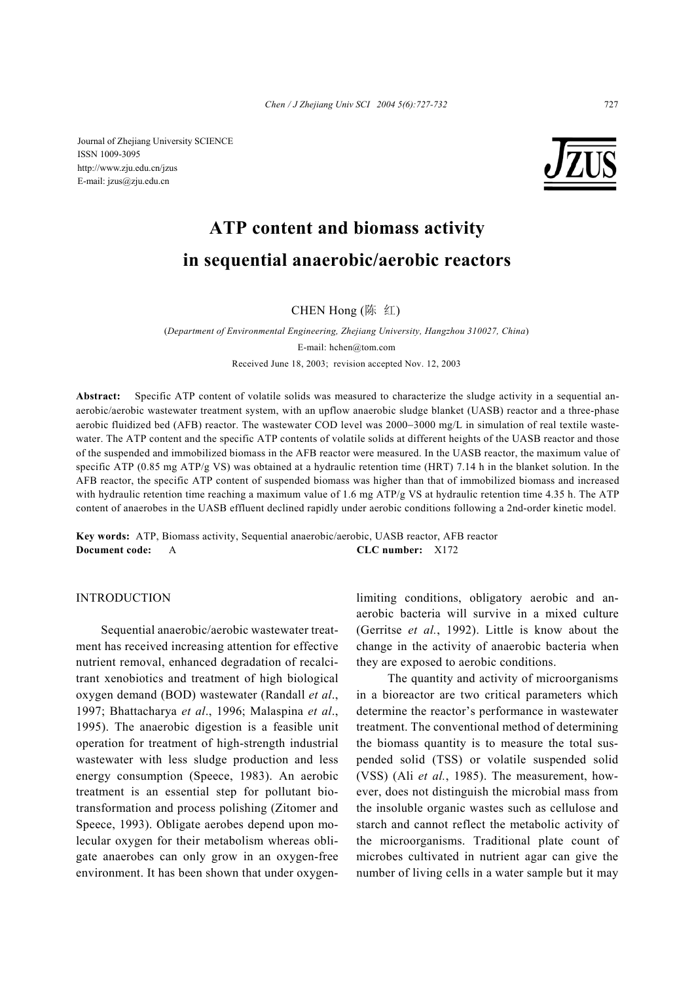Journal of Zhejiang University SCIENCE ISSN 1009-3095 http://www.zju.edu.cn/jzus E-mail: jzus@zju.edu.cn



# **ATP content and biomass activity in sequential anaerobic/aerobic reactors**

CHEN Hong (陈 红)

(*Department of Environmental Engineering, Zhejiang University, Hangzhou 310027, China*) E-mail: hchen@tom.com Received June 18, 2003; revision accepted Nov. 12, 2003

**Abstract:** Specific ATP content of volatile solids was measured to characterize the sludge activity in a sequential anaerobic/aerobic wastewater treatment system, with an upflow anaerobic sludge blanket (UASB) reactor and a three-phase aerobic fluidized bed (AFB) reactor. The wastewater COD level was 2000−3000 mg/L in simulation of real textile wastewater. The ATP content and the specific ATP contents of volatile solids at different heights of the UASB reactor and those of the suspended and immobilized biomass in the AFB reactor were measured. In the UASB reactor, the maximum value of specific ATP (0.85 mg ATP/g VS) was obtained at a hydraulic retention time (HRT) 7.14 h in the blanket solution. In the AFB reactor, the specific ATP content of suspended biomass was higher than that of immobilized biomass and increased with hydraulic retention time reaching a maximum value of 1.6 mg ATP/g VS at hydraulic retention time 4.35 h. The ATP content of anaerobes in the UASB effluent declined rapidly under aerobic conditions following a 2nd-order kinetic model.

**Key words:** ATP, Biomass activity, Sequential anaerobic/aerobic, UASB reactor, AFB reactor **Document code:** A **CLC number:** X172

## INTRODUCTION

Sequential anaerobic/aerobic wastewater treatment has received increasing attention for effective nutrient removal, enhanced degradation of recalcitrant xenobiotics and treatment of high biological oxygen demand (BOD) wastewater (Randall *et al*., 1997; Bhattacharya *et al*., 1996; Malaspina *et al*., 1995). The anaerobic digestion is a feasible unit operation for treatment of high-strength industrial wastewater with less sludge production and less energy consumption (Speece, 1983). An aerobic treatment is an essential step for pollutant biotransformation and process polishing (Zitomer and Speece, 1993). Obligate aerobes depend upon molecular oxygen for their metabolism whereas obligate anaerobes can only grow in an oxygen-free environment. It has been shown that under oxygenlimiting conditions, obligatory aerobic and anaerobic bacteria will survive in a mixed culture (Gerritse *et al.*, 1992). Little is know about the change in the activity of anaerobic bacteria when they are exposed to aerobic conditions.

 The quantity and activity of microorganisms in a bioreactor are two critical parameters which determine the reactor's performance in wastewater treatment. The conventional method of determining the biomass quantity is to measure the total suspended solid (TSS) or volatile suspended solid (VSS) (Ali *et al.*, 1985). The measurement, however, does not distinguish the microbial mass from the insoluble organic wastes such as cellulose and starch and cannot reflect the metabolic activity of the microorganisms. Traditional plate count of microbes cultivated in nutrient agar can give the number of living cells in a water sample but it may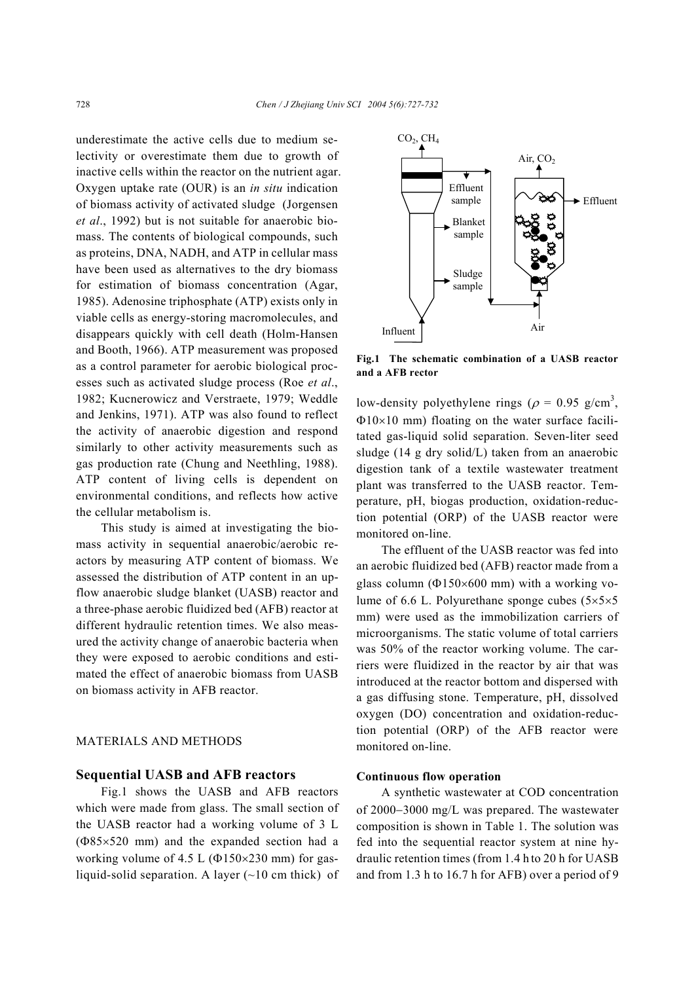underestimate the active cells due to medium selectivity or overestimate them due to growth of inactive cells within the reactor on the nutrient agar. Oxygen uptake rate (OUR) is an *in situ* indication of biomass activity of activated sludge (Jorgensen *et al*., 1992) but is not suitable for anaerobic biomass. The contents of biological compounds, such as proteins, DNA, NADH, and ATP in cellular mass have been used as alternatives to the dry biomass for estimation of biomass concentration (Agar, 1985). Adenosine triphosphate (ATP) exists only in viable cells as energy-storing macromolecules, and disappears quickly with cell death (Holm-Hansen and Booth, 1966). ATP measurement was proposed as a control parameter for aerobic biological processes such as activated sludge process (Roe *et al*., 1982; Kucnerowicz and Verstraete, 1979; Weddle and Jenkins, 1971). ATP was also found to reflect the activity of anaerobic digestion and respond similarly to other activity measurements such as gas production rate (Chung and Neethling, 1988). ATP content of living cells is dependent on environmental conditions, and reflects how active the cellular metabolism is.

This study is aimed at investigating the biomass activity in sequential anaerobic/aerobic reactors by measuring ATP content of biomass. We assessed the distribution of ATP content in an upflow anaerobic sludge blanket (UASB) reactor and a three-phase aerobic fluidized bed (AFB) reactor at different hydraulic retention times. We also measured the activity change of anaerobic bacteria when they were exposed to aerobic conditions and estimated the effect of anaerobic biomass from UASB on biomass activity in AFB reactor.

## MATERIALS AND METHODS

#### **Sequential UASB and AFB reactors**

Fig.1 shows the UASB and AFB reactors which were made from glass. The small section of the UASB reactor had a working volume of 3 L (Φ85×520 mm) and the expanded section had a working volume of 4.5 L (Φ150×230 mm) for gasliquid-solid separation. A layer  $(-10 \text{ cm thick})$  of



**Fig.1 The schematic combination of a UASB reactor and a AFB rector** 

low-density polyethylene rings ( $\rho = 0.95$  g/cm<sup>3</sup>, Φ10×10 mm) floating on the water surface facilitated gas-liquid solid separation. Seven-liter seed sludge (14 g dry solid/L) taken from an anaerobic digestion tank of a textile wastewater treatment plant was transferred to the UASB reactor. Temperature, pH, biogas production, oxidation-reduction potential (ORP) of the UASB reactor were monitored on-line.

The effluent of the UASB reactor was fed into an aerobic fluidized bed (AFB) reactor made from a glass column (Φ150×600 mm) with a working volume of 6.6 L. Polyurethane sponge cubes  $(5 \times 5 \times 5)$ mm) were used as the immobilization carriers of microorganisms. The static volume of total carriers was 50% of the reactor working volume. The carriers were fluidized in the reactor by air that was introduced at the reactor bottom and dispersed with a gas diffusing stone. Temperature, pH, dissolved oxygen (DO) concentration and oxidation-reduction potential (ORP) of the AFB reactor were monitored on-line.

## **Continuous flow operation**

A synthetic wastewater at COD concentration of 2000−3000 mg/L was prepared. The wastewater composition is shown in Table 1. The solution was fed into the sequential reactor system at nine hydraulic retention times (from 1.4 h to 20 h for UASB and from 1.3 h to 16.7 h for AFB) over a period of 9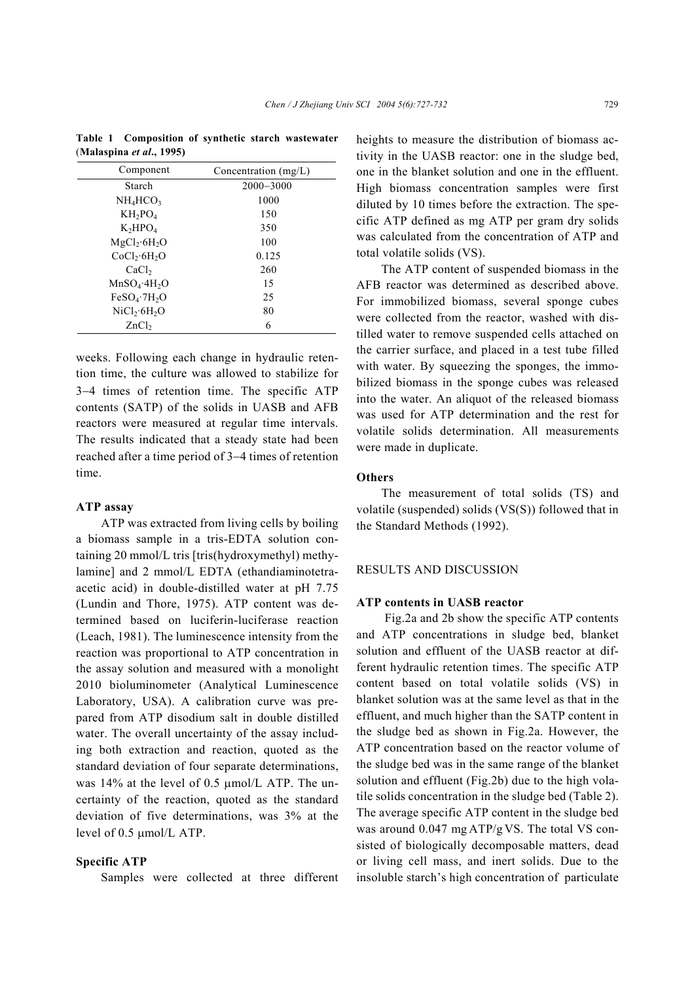| Component                            | Concentration $(mg/L)$ |
|--------------------------------------|------------------------|
| Starch                               | $2000 - 3000$          |
| NH <sub>4</sub> HCO <sub>3</sub>     | 1000                   |
| $KH_2PO_4$                           | 150                    |
| $K_2HPO_4$                           | 350                    |
| $MgCl_2 \cdot 6H_2O$                 | 100                    |
| CoCl <sub>2</sub> ·6H <sub>2</sub> O | 0.125                  |
| CaCl <sub>2</sub>                    | 260                    |
| $MnSO_4$ :4H <sub>2</sub> O          | 15                     |
| FeSO <sub>4</sub> ·7H <sub>2</sub> O | 25                     |
| NiCl <sub>2</sub> ·6H <sub>2</sub> O | 80                     |
| ZnCl <sub>2</sub>                    | 6                      |

**Table 1 Composition of synthetic starch wastewater**  (Malaspina *et al.*, 1995)

weeks. Following each change in hydraulic retention time, the culture was allowed to stabilize for 3−4 times of retention time. The specific ATP contents (SATP) of the solids in UASB and AFB reactors were measured at regular time intervals. The results indicated that a steady state had been reached after a time period of 3−4 times of retention time.

## **ATP assay**

ATP was extracted from living cells by boiling a biomass sample in a tris-EDTA solution containing 20 mmol/L tris [tris(hydroxymethyl) methylamine] and 2 mmol/L EDTA (ethandiaminotetraacetic acid) in double-distilled water at pH 7.75 (Lundin and Thore, 1975). ATP content was determined based on luciferin-luciferase reaction (Leach, 1981). The luminescence intensity from the reaction was proportional to ATP concentration in the assay solution and measured with a monolight 2010 bioluminometer (Analytical Luminescence Laboratory, USA). A calibration curve was prepared from ATP disodium salt in double distilled water. The overall uncertainty of the assay including both extraction and reaction, quoted as the standard deviation of four separate determinations, was 14% at the level of 0.5 µmol/L ATP. The uncertainty of the reaction, quoted as the standard deviation of five determinations, was 3% at the level of 0.5 µmol/L ATP.

# **Specific ATP**

Samples were collected at three different

heights to measure the distribution of biomass activity in the UASB reactor: one in the sludge bed, one in the blanket solution and one in the effluent. High biomass concentration samples were first diluted by 10 times before the extraction. The specific ATP defined as mg ATP per gram dry solids was calculated from the concentration of ATP and total volatile solids (VS).

The ATP content of suspended biomass in the AFB reactor was determined as described above. For immobilized biomass, several sponge cubes were collected from the reactor, washed with distilled water to remove suspended cells attached on the carrier surface, and placed in a test tube filled with water. By squeezing the sponges, the immobilized biomass in the sponge cubes was released into the water. An aliquot of the released biomass was used for ATP determination and the rest for volatile solids determination. All measurements were made in duplicate.

## **Others**

The measurement of total solids (TS) and volatile (suspended) solids (VS(S)) followed that in the Standard Methods (1992).

#### RESULTS AND DISCUSSION

#### **ATP contents in UASB reactor**

Fig.2a and 2b show the specific ATP contents and ATP concentrations in sludge bed, blanket solution and effluent of the UASB reactor at different hydraulic retention times. The specific ATP content based on total volatile solids (VS) in blanket solution was at the same level as that in the effluent, and much higher than the SATP content in the sludge bed as shown in Fig.2a. However, the ATP concentration based on the reactor volume of the sludge bed was in the same range of the blanket solution and effluent (Fig.2b) due to the high volatile solids concentration in the sludge bed (Table 2). The average specific ATP content in the sludge bed was around 0.047 mg ATP/g VS. The total VS consisted of biologically decomposable matters, dead or living cell mass, and inert solids. Due to the insoluble starch's high concentration of particulate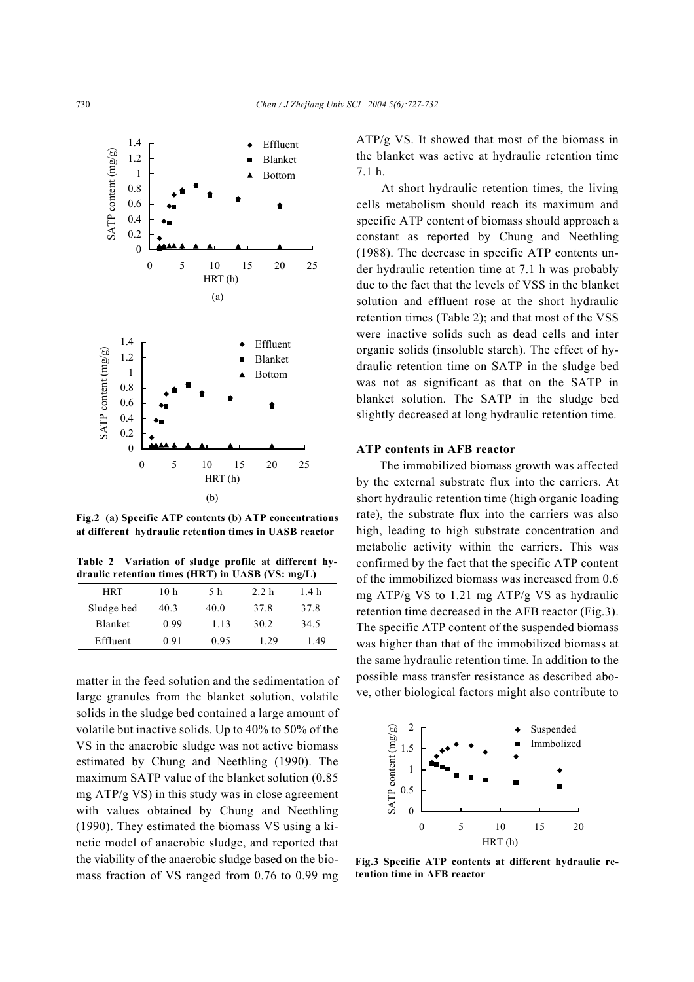

**Fig.2 (a) Specific ATP contents (b) ATP concentrations at different hydraulic retention times in UASB reactor** 

**Table 2 Variation of sludge profile at different hydraulic retention times (HRT) in UASB (VS: mg/L)**

| HRT            | 10 h | 5 h  | 2.2 <sub>h</sub> | 1.4 h |
|----------------|------|------|------------------|-------|
| Sludge bed     | 40.3 | 40.0 | 37.8             | 37.8  |
| <b>Blanket</b> | 0.99 | 1.13 | 30 2             | 34.5  |
| Effluent       | 0.91 | 0.95 | 1 29             | 149   |

matter in the feed solution and the sedimentation of large granules from the blanket solution, volatile solids in the sludge bed contained a large amount of volatile but inactive solids. Up to 40% to 50% of the VS in the anaerobic sludge was not active biomass estimated by Chung and Neethling (1990). The maximum SATP value of the blanket solution (0.85 mg ATP/g VS) in this study was in close agreement with values obtained by Chung and Neethling (1990). They estimated the biomass VS using a kinetic model of anaerobic sludge, and reported that the viability of the anaerobic sludge based on the biomass fraction of VS ranged from 0.76 to 0.99 mg ATP/g VS. It showed that most of the biomass in the blanket was active at hydraulic retention time 7.1 h.

At short hydraulic retention times, the living cells metabolism should reach its maximum and specific ATP content of biomass should approach a constant as reported by Chung and Neethling (1988). The decrease in specific ATP contents under hydraulic retention time at 7.1 h was probably due to the fact that the levels of VSS in the blanket solution and effluent rose at the short hydraulic retention times (Table 2); and that most of the VSS were inactive solids such as dead cells and inter organic solids (insoluble starch). The effect of hydraulic retention time on SATP in the sludge bed was not as significant as that on the SATP in blanket solution. The SATP in the sludge bed slightly decreased at long hydraulic retention time.

#### **ATP contents in AFB reactor**

The immobilized biomass growth was affected by the external substrate flux into the carriers. At short hydraulic retention time (high organic loading rate), the substrate flux into the carriers was also high, leading to high substrate concentration and metabolic activity within the carriers. This was confirmed by the fact that the specific ATP content of the immobilized biomass was increased from 0.6 mg ATP/g VS to 1.21 mg ATP/g VS as hydraulic retention time decreased in the AFB reactor (Fig.3). The specific ATP content of the suspended biomass was higher than that of the immobilized biomass at the same hydraulic retention time. In addition to the possible mass transfer resistance as described above, other biological factors might also contribute to



**Fig.3 Specific ATP contents at different hydraulic retention time in AFB reactor**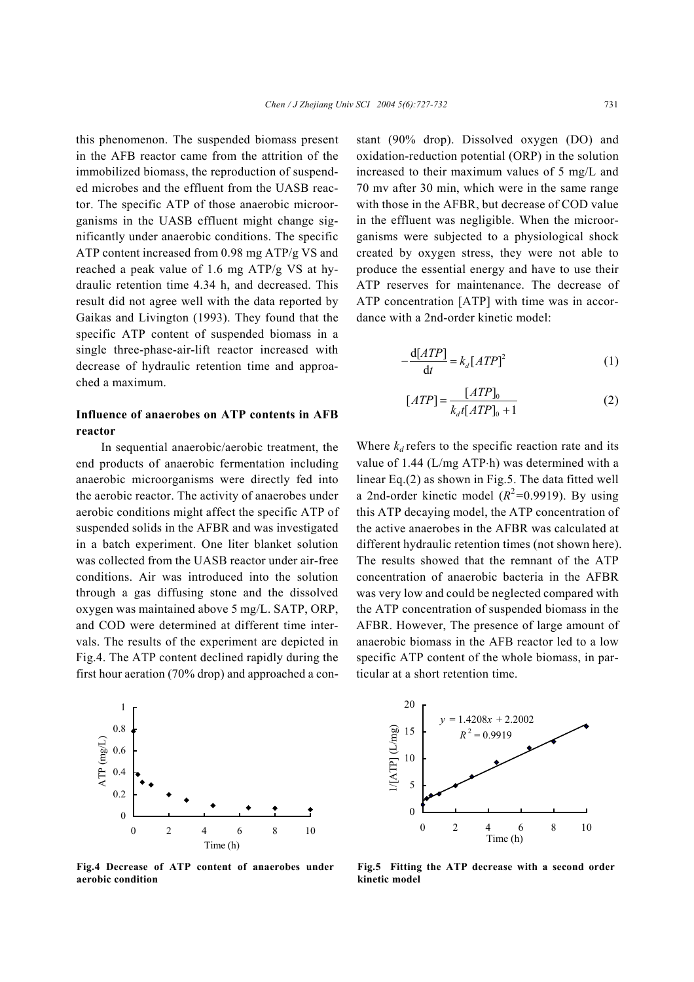this phenomenon. The suspended biomass present in the AFB reactor came from the attrition of the immobilized biomass, the reproduction of suspended microbes and the effluent from the UASB reactor. The specific ATP of those anaerobic microorganisms in the UASB effluent might change significantly under anaerobic conditions. The specific ATP content increased from 0.98 mg ATP/g VS and reached a peak value of 1.6 mg ATP/g VS at hydraulic retention time 4.34 h, and decreased. This result did not agree well with the data reported by Gaikas and Livington (1993). They found that the specific ATP content of suspended biomass in a single three-phase-air-lift reactor increased with decrease of hydraulic retention time and approached a maximum.

# **Influence of anaerobes on ATP contents in AFB reactor**

In sequential anaerobic/aerobic treatment, the end products of anaerobic fermentation including anaerobic microorganisms were directly fed into the aerobic reactor. The activity of anaerobes under aerobic conditions might affect the specific ATP of suspended solids in the AFBR and was investigated in a batch experiment. One liter blanket solution was collected from the UASB reactor under air-free conditions. Air was introduced into the solution through a gas diffusing stone and the dissolved oxygen was maintained above 5 mg/L. SATP, ORP, and COD were determined at different time intervals. The results of the experiment are depicted in Fig.4. The ATP content declined rapidly during the first hour aeration (70% drop) and approached a con-



**Fig.4 Decrease of ATP content of anaerobes under aerobic condition**

stant (90% drop). Dissolved oxygen (DO) and oxidation-reduction potential (ORP) in the solution increased to their maximum values of 5 mg/L and 70 mv after 30 min, which were in the same range with those in the AFBR, but decrease of COD value in the effluent was negligible. When the microorganisms were subjected to a physiological shock created by oxygen stress, they were not able to produce the essential energy and have to use their ATP reserves for maintenance. The decrease of ATP concentration [ATP] with time was in accordance with a 2nd-order kinetic model:

$$
-\frac{\mathrm{d}[ATP]}{\mathrm{d}t} = k_d [ATP]^2 \tag{1}
$$

$$
[ATP] = \frac{[ATP]_0}{k_d t [ATP]_0 + 1}
$$
 (2)

Where  $k_d$  refers to the specific reaction rate and its value of 1.44 (L/mg ATP⋅h) was determined with a linear Eq.(2) as shown in Fig.5. The data fitted well a 2nd-order kinetic model  $(R^2=0.9919)$ . By using this ATP decaying model, the ATP concentration of the active anaerobes in the AFBR was calculated at different hydraulic retention times (not shown here). The results showed that the remnant of the ATP concentration of anaerobic bacteria in the AFBR was very low and could be neglected compared with the ATP concentration of suspended biomass in the AFBR. However, The presence of large amount of anaerobic biomass in the AFB reactor led to a low specific ATP content of the whole biomass, in particular at a short retention time.



**Fig.5 Fitting the ATP decrease with a second order kinetic model**